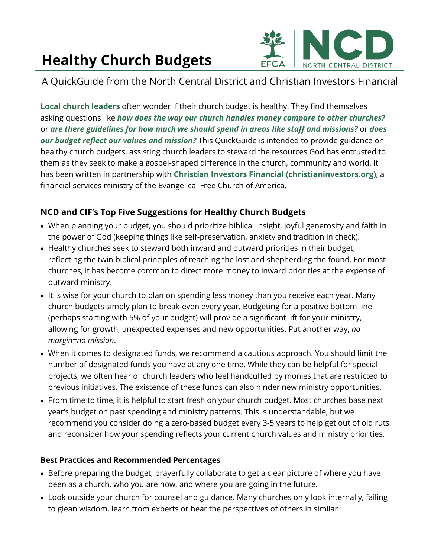# **Healthy Church Budgets**



## A QuickGuide from the North Central District and Christian Investors Financial

**Local church leaders** often wonder if their church budget is healthy. They find themselves asking questions like *how does the way our church handles money compare to other churches?* or *are there guidelines for how much we should spend in areas like staff and missions?* or *does our budget reflect our values and mission?* This QuickGuide is intended to provide guidance on healthy church budgets, assisting church leaders to steward the resources God has entrusted to them as they seek to make a gospel-shaped difference in the church, community and world. It has been written in partnership with **Christian Investors Financial (christianinvestors.org)**, a financial services ministry of the Evangelical Free Church of America.

## **NCD and CIF's Top Five Suggestions for Healthy Church Budgets**

- When planning your budget, you should prioritize biblical insight, joyful generosity and faith in the power of God (keeping things like self-preservation, anxiety and tradition in check).
- Healthy churches seek to steward both inward and outward priorities in their budget, reflecting the twin biblical principles of reaching the lost and shepherding the found. For most churches, it has become common to direct more money to inward priorities at the expense of outward ministry.
- It is wise for your church to plan on spending less money than you receive each year. Many church budgets simply plan to break-even every year. Budgeting for a positive bottom line (perhaps starting with 5% of your budget) will provide a significant lift for your ministry, allowing for growth, unexpected expenses and new opportunities. Put another way, *no margin=no mission*.
- When it comes to designated funds, we recommend a cautious approach. You should limit the number of designated funds you have at any one time. While they can be helpful for special projects, we often hear of church leaders who feel handcuffed by monies that are restricted to previous initiatives. The existence of these funds can also hinder new ministry opportunities.
- From time to time, it is helpful to start fresh on your church budget. Most churches base next year's budget on past spending and ministry patterns. This is understandable, but we recommend you consider doing a zero-based budget every 3-5 years to help get out of old ruts and reconsider how your spending reflects your current church values and ministry priorities.

#### **Best Practices and Recommended Percentages**

- Before preparing the budget, prayerfully collaborate to get a clear picture of where you have been as a church, who you are now, and where you are going in the future.
- Look outside your church for counsel and guidance. Many churches only look internally, failing to glean wisdom, learn from experts or hear the perspectives of others in similar